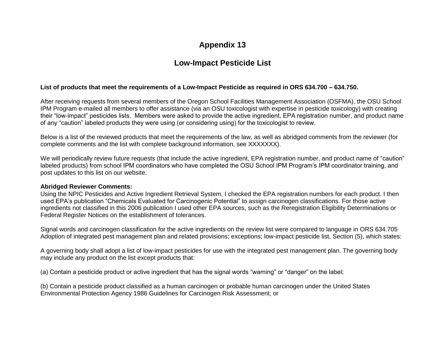# **Appendix 13**

# **Low-Impact Pesticide List**

### **List of products that meet the requirements of a Low-Impact Pesticide as required in ORS 634.700 – 634.750.**

After receiving requests from several members of the Oregon School Facilities Management Association (OSFMA), the OSU School IPM Program e-mailed all members to offer assistance (via an OSU toxicologist with expertise in pesticide toxicology) with creating their "low-impact" pesticides lists. Members were asked to provide the active ingredient, EPA registration number, and product name of any "caution" labeled products they were using (or considering using) for the toxicologist to review.

Below is a list of the reviewed products that meet the requirements of the law, as well as abridged comments from the reviewer (for complete comments and the list with complete background information, see XXXXXXX).

We will periodically review future requests (that include the active ingredient, EPA registration number, and product name of "caution" labeled products) from school IPM coordinators who have completed the OSU School IPM Program's IPM coordinator training, and post updates to this list on our website.

#### **Abridged Reviewer Comments:**

Using the NPIC Pesticides and Active Ingredient Retrieval System, I checked the EPA registration numbers for each product. I then used EPA's publication "Chemicals Evaluated for Carcinogenic Potential" to assign carcinogen classifications. For those active ingredients not classified in this 2006 publication I used other EPA sources, such as the Reregistration Eligibility Determinations or Federal Register Notices on the establishment of tolerances.

Signal words and carcinogen classification for the active ingredients on the review list were compared to language in ORS 634.705 Adoption of integrated pest management plan and related provisions; exceptions; low-impact pesticide list, Section (5), which states:

A governing body shall adopt a list of low-impact pesticides for use with the integrated pest management plan. The governing body may include any product on the list except products that:

(a) Contain a pesticide product or active ingredient that has the signal words "warning" or "danger" on the label;

(b) Contain a pesticide product classified as a human carcinogen or probable human carcinogen under the United States Environmental Protection Agency 1986 Guidelines for Carcinogen Risk Assessment; or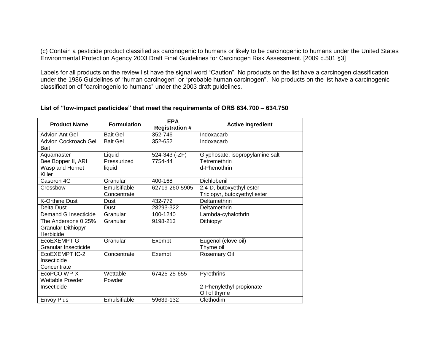(c) Contain a pesticide product classified as carcinogenic to humans or likely to be carcinogenic to humans under the United States Environmental Protection Agency 2003 Draft Final Guidelines for Carcinogen Risk Assessment. [2009 c.501 §3]

Labels for all products on the review list have the signal word "Caution". No products on the list have a carcinogen classification under the 1986 Guidelines of "human carcinogen" or "probable human carcinogen". No products on the list have a carcinogenic classification of "carcinogenic to humans" under the 2003 draft guidelines.

| <b>Product Name</b>                 | <b>Formulation</b> | <b>EPA</b><br><b>Registration #</b> | <b>Active Ingredient</b>        |
|-------------------------------------|--------------------|-------------------------------------|---------------------------------|
| <b>Advion Ant Gel</b>               | <b>Bait Gel</b>    | 352-746                             | Indoxacarb                      |
| <b>Advion Cockroach Gel</b><br>Bait | <b>Bait Gel</b>    | 352-652                             | Indoxacarb                      |
| Aquamaster                          | Liquid             | 524-343 (-ZF)                       | Glyphosate, isopropylamine salt |
| Bee Bopper II, ARI                  | Pressurized        | 7754-44                             | Tetremethrin                    |
| Wasp and Hornet<br>Killer           | liquid             |                                     | d-Phenothrin                    |
| Casoron 4G                          | Granular           | 400-168                             | Dichlobenil                     |
| Crossbow                            | Emulsifiable       | 62719-260-5905                      | 2,4-D, butoxyethyl ester        |
|                                     | Concentrate        |                                     | Triclopyr, butoxyethyl ester    |
| <b>K-Orthine Dust</b>               | Dust               | 432-772                             | Deltamethrin                    |
| Delta Dust                          | Dust               | 28293-322                           | Deltamethrin                    |
| Demand G Insecticide                | Granular           | 100-1240                            | Lambda-cyhalothrin              |
| The Andersons 0.25%                 | Granular           | 9198-213                            | Dithiopyr                       |
| <b>Granular Dithiopyr</b>           |                    |                                     |                                 |
| Herbicide                           |                    |                                     |                                 |
| EcoEXEMPT G                         | Granular           | Exempt                              | Eugenol (clove oil)             |
| Granular Insecticide                |                    |                                     | Thyme oil                       |
| EcoEXEMPT IC-2                      | Concentrate        | Exempt                              | <b>Rosemary Oil</b>             |
| Insecticide                         |                    |                                     |                                 |
| Concentrate                         |                    |                                     |                                 |
| EcoPCO WP-X                         | Wettable           | 67425-25-655                        | Pyrethrins                      |
| Wettable Powder                     | Powder             |                                     |                                 |
| Insecticide                         |                    |                                     | 2-Phenylethyl propionate        |
|                                     |                    |                                     | Oil of thyme                    |
| <b>Envoy Plus</b>                   | Emulsifiable       | 59639-132                           | Clethodim                       |

### **List of "low-impact pesticides" that meet the requirements of ORS 634.700 – 634.750**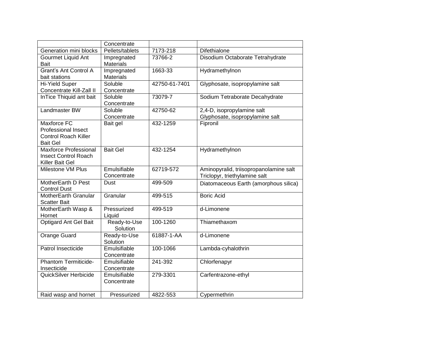|                                     | Concentrate                 |               |                                        |
|-------------------------------------|-----------------------------|---------------|----------------------------------------|
| Generation mini blocks              | Pellets/tablets             | 7173-218      | Difethialone                           |
| Gourmet Liquid Ant                  | Impregnated                 | 73766-2       | Disodium Octaborate Tetrahydrate       |
| <b>Bait</b>                         | <b>Materials</b>            |               |                                        |
| Grant's Ant Control A               | Impregnated                 | 1663-33       | Hydramethylnon                         |
| bait stations                       | <b>Materials</b>            |               |                                        |
| Hi-Yield Super                      | Soluble                     | 42750-61-7401 | Glyphosate, isopropylamine salt        |
| Concentrate Kill-Zall II            | Concentrate                 |               |                                        |
| InTice Thiquid ant bait             | Soluble                     | 73079-7       | Sodium Tetraborate Decahydrate         |
|                                     | Concentrate                 |               |                                        |
| Landmaster BW                       | Soluble                     | 42750-62      | 2,4-D, isopropylamine salt             |
|                                     | Concentrate                 |               | Glyphosate, isopropylamine salt        |
| <b>Maxforce FC</b>                  | Bait gel                    | 432-1259      | Fipronil                               |
| <b>Professional Insect</b>          |                             |               |                                        |
| <b>Control Roach Killer</b>         |                             |               |                                        |
| <b>Bait Gel</b>                     |                             |               |                                        |
| Maxforce Professional               | <b>Bait Gel</b>             | 432-1254      | Hydramethylnon                         |
| <b>Insect Control Roach</b>         |                             |               |                                        |
| Killer Bait Gel                     |                             |               |                                        |
| Milestone VM Plus                   | Emulsifiable                | 62719-572     | Aminopyralid, triisopropanolamine salt |
|                                     | Concentrate                 |               | Triclopyr, triethylamine salt          |
| MotherEarth D Pest                  | Dust                        | 499-509       | Diatomaceous Earth (amorphous silica)  |
| <b>Control Dust</b>                 |                             |               |                                        |
| MotherEarth Granular                | Granular                    | 499-515       | <b>Boric Acid</b>                      |
| <b>Scatter Bait</b>                 |                             |               |                                        |
| MotherEarth Wasp &                  | Pressurized                 | 499-519       | d-Limonene                             |
| Hornet                              | Liquid                      |               |                                        |
| Optigard Ant Gel Bait               | Ready-to-Use                | 100-1260      | Thiamethaxom                           |
|                                     | Solution                    |               |                                        |
| Orange Guard                        | Ready-to-Use                | 61887-1-AA    | d-Limonene                             |
|                                     | Solution                    |               |                                        |
| Patrol Insecticide                  | Emulsifiable                | 100-1066      | Lambda-cyhalothrin                     |
|                                     | Concentrate<br>Emulsifiable |               |                                        |
| Phantom Termiticide-<br>Insecticide |                             | 241-392       | Chlorfenapyr                           |
| QuickSilver Herbicide               | Concentrate<br>Emulsifiable |               |                                        |
|                                     | Concentrate                 | 279-3301      | Carfentrazone-ethyl                    |
|                                     |                             |               |                                        |
| Raid wasp and hornet                | Pressurized                 | 4822-553      | Cypermethrin                           |
|                                     |                             |               |                                        |